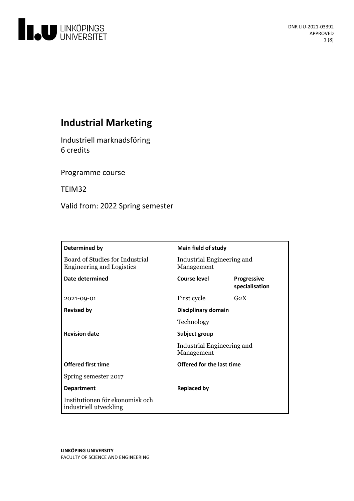

# **Industrial Marketing**

Industriell marknadsföring 6 credits

Programme course

TEIM32

Valid from: 2022 Spring semester

| Determined by                                                       | Main field of study                                       |                                      |
|---------------------------------------------------------------------|-----------------------------------------------------------|--------------------------------------|
| Board of Studies for Industrial<br><b>Engineering and Logistics</b> | Industrial Engineering and<br>Management                  |                                      |
| <b>Date determined</b>                                              | Course level                                              | <b>Progressive</b><br>specialisation |
| 2021-09-01                                                          | First cycle                                               | G <sub>2</sub> X                     |
| <b>Revised by</b>                                                   | Disciplinary domain                                       |                                      |
|                                                                     | Technology                                                |                                      |
| <b>Revision date</b>                                                | Subject group<br>Industrial Engineering and<br>Management |                                      |
|                                                                     |                                                           |                                      |
| <b>Offered first time</b>                                           | Offered for the last time                                 |                                      |
| Spring semester 2017                                                |                                                           |                                      |
| <b>Department</b>                                                   | <b>Replaced by</b>                                        |                                      |
| Institutionen för ekonomisk och<br>industriell utveckling           |                                                           |                                      |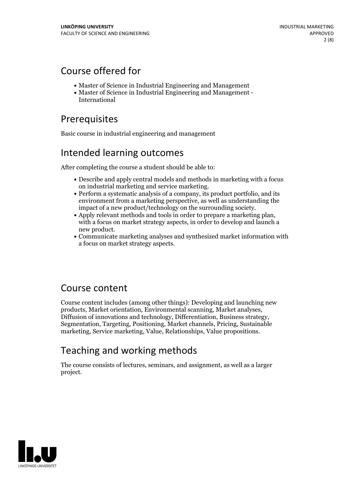# Course offered for

- Master of Science in Industrial Engineering and Management
- Master of Science in Industrial Engineering and Management International

# Prerequisites

Basic course in industrial engineering and management

# Intended learning outcomes

After completing the course a student should be able to:

- Describe and apply central models and methods in marketing with a focus
- $\bullet$  Perform a systematic analysis of a company, its product portfolio, and its environment from a marketing perspective, as well as understanding the impact of a new product/technology on the surrounding society.
- Apply relevant methods and tools in order to prepare a marketing plan, with a focus on market strategy aspects, in order to develop and launch a
- new product.<br>• Communicate marketing analyses and synthesized market information with a focus on market strategy aspects.

## Course content

Course content includes (among other things): Developing and launching new Diffusion of innovations and technology, Differentiation, Business strategy, Segmentation, Targeting, Positioning, Market channels, Pricing, Sustainable marketing, Service marketing, Value, Relationships, Value propositions.

# Teaching and working methods

The course consists of lectures, seminars, and assignment, as well as a larger project.

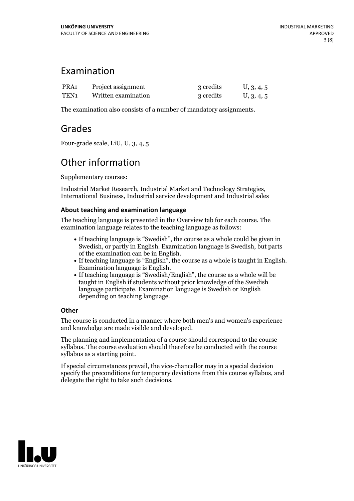## Examination

| PRA <sub>1</sub> | Project assignment  | 3 credits | U, 3, 4, 5 |
|------------------|---------------------|-----------|------------|
| TEN1             | Written examination | 3 credits | U, 3, 4, 5 |

The examination also consists of a number of mandatory assignments.

## Grades

Four-grade scale, LiU, U, 3, 4, 5

# Other information

Supplementary courses:

Industrial Market Research, Industrial Market and Technology Strategies, International Business, Industrial service development and Industrial sales

## **About teaching and examination language**

The teaching language is presented in the Overview tab for each course. The examination language relates to the teaching language as follows:

- If teaching language is "Swedish", the course as a whole could be given in Swedish, or partly in English. Examination language is Swedish, but parts
- of the examination can be in English. If teaching language is "English", the course as <sup>a</sup> whole is taught in English. Examination language is English. If teaching language is "Swedish/English", the course as <sup>a</sup> whole will be
- taught in English if students without prior knowledge of the Swedish language participate. Examination language is Swedish or English depending on teaching language.

## **Other**

The course is conducted in a manner where both men's and women's experience and knowledge are made visible and developed.

The planning and implementation of a course should correspond to the course syllabus. The course evaluation should therefore be conducted with the course syllabus as a starting point.

If special circumstances prevail, the vice-chancellor may in a special decision specify the preconditions for temporary deviations from this course syllabus, and delegate the right to take such decisions.

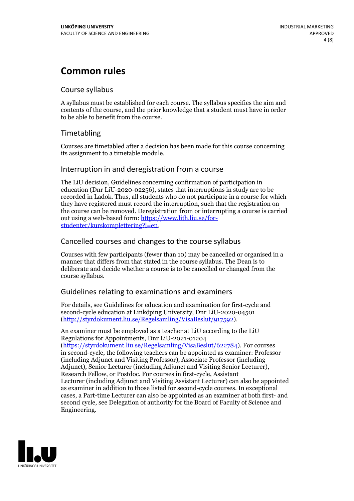# **Common rules**

## Course syllabus

A syllabus must be established for each course. The syllabus specifies the aim and contents of the course, and the prior knowledge that a student must have in order to be able to benefit from the course.

## Timetabling

Courses are timetabled after a decision has been made for this course concerning its assignment to a timetable module.

## Interruption in and deregistration from a course

The LiU decision, Guidelines concerning confirmation of participation in education (Dnr LiU-2020-02256), states that interruptions in study are to be recorded in Ladok. Thus, all students who do not participate in a course for which they have registered must record the interruption, such that the registration on the course can be removed. Deregistration from or interrupting a course is carried out using <sup>a</sup> web-based form: https://www.lith.liu.se/for- [studenter/kurskomplettering?l=en.](https://www.lith.liu.se/for-studenter/kurskomplettering?l=en)

## Cancelled courses and changes to the course syllabus

Courses with few participants (fewer than 10) may be cancelled or organised in a manner that differs from that stated in the course syllabus. The Dean is to deliberate and decide whether a course is to be cancelled or changed from the course syllabus.

## Guidelines relating to examinations and examiners

For details, see Guidelines for education and examination for first-cycle and second-cycle education at Linköping University, Dnr LiU-2020-04501 [\(http://styrdokument.liu.se/Regelsamling/VisaBeslut/917592\)](http://styrdokument.liu.se/Regelsamling/VisaBeslut/917592).

An examiner must be employed as a teacher at LiU according to the LiU Regulations for Appointments, Dnr LiU-2021-01204 [\(https://styrdokument.liu.se/Regelsamling/VisaBeslut/622784](https://styrdokument.liu.se/Regelsamling/VisaBeslut/622784)). For courses in second-cycle, the following teachers can be appointed as examiner: Professor (including Adjunct and Visiting Professor), Associate Professor (including Adjunct), Senior Lecturer (including Adjunct and Visiting Senior Lecturer), Research Fellow, or Postdoc. For courses in first-cycle, Assistant Lecturer (including Adjunct and Visiting Assistant Lecturer) can also be appointed as examiner in addition to those listed for second-cycle courses. In exceptional cases, a Part-time Lecturer can also be appointed as an examiner at both first- and second cycle, see Delegation of authority for the Board of Faculty of Science and Engineering.

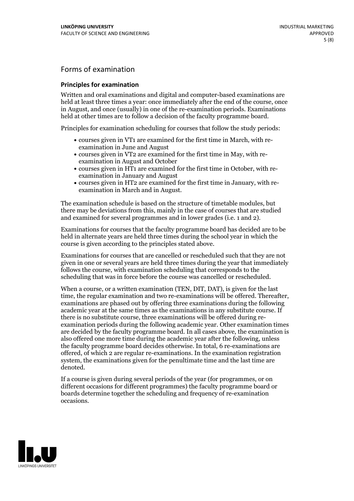## Forms of examination

#### **Principles for examination**

Written and oral examinations and digital and computer-based examinations are held at least three times a year: once immediately after the end of the course, once in August, and once (usually) in one of the re-examination periods. Examinations held at other times are to follow a decision of the faculty programme board.

Principles for examination scheduling for courses that follow the study periods:

- courses given in VT1 are examined for the first time in March, with re-examination in June and August
- courses given in VT2 are examined for the first time in May, with re-examination in August and October
- courses given in HT1 are examined for the first time in October, with re-examination in January and August
- courses given in HT2 are examined for the first time in January, with re-examination in March and in August.

The examination schedule is based on the structure of timetable modules, but there may be deviations from this, mainly in the case of courses that are studied and examined for several programmes and in lower grades (i.e. 1 and 2).

Examinations for courses that the faculty programme board has decided are to be held in alternate years are held three times during the school year in which the course is given according to the principles stated above.

Examinations for courses that are cancelled orrescheduled such that they are not given in one or several years are held three times during the year that immediately follows the course, with examination scheduling that corresponds to the scheduling that was in force before the course was cancelled or rescheduled.

When a course, or a written examination (TEN, DIT, DAT), is given for the last time, the regular examination and two re-examinations will be offered. Thereafter, examinations are phased out by offering three examinations during the following academic year at the same times as the examinations in any substitute course. If there is no substitute course, three examinations will be offered during re- examination periods during the following academic year. Other examination times are decided by the faculty programme board. In all cases above, the examination is also offered one more time during the academic year after the following, unless the faculty programme board decides otherwise. In total, 6 re-examinations are offered, of which 2 are regular re-examinations. In the examination registration system, the examinations given for the penultimate time and the last time are denoted.

If a course is given during several periods of the year (for programmes, or on different occasions for different programmes) the faculty programme board or boards determine together the scheduling and frequency of re-examination occasions.

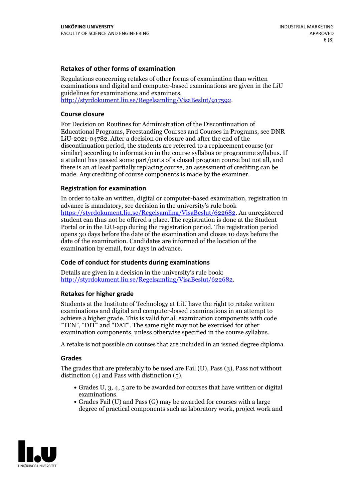#### **Retakes of other forms of examination**

Regulations concerning retakes of other forms of examination than written examinations and digital and computer-based examinations are given in the LiU guidelines for examinations and examiners, [http://styrdokument.liu.se/Regelsamling/VisaBeslut/917592.](http://styrdokument.liu.se/Regelsamling/VisaBeslut/917592)

#### **Course closure**

For Decision on Routines for Administration of the Discontinuation of Educational Programs, Freestanding Courses and Courses in Programs, see DNR LiU-2021-04782. After a decision on closure and after the end of the discontinuation period, the students are referred to a replacement course (or similar) according to information in the course syllabus or programme syllabus. If a student has passed some part/parts of a closed program course but not all, and there is an at least partially replacing course, an assessment of crediting can be made. Any crediting of course components is made by the examiner.

### **Registration for examination**

In order to take an written, digital or computer-based examination, registration in advance is mandatory, see decision in the university's rule book [https://styrdokument.liu.se/Regelsamling/VisaBeslut/622682.](https://styrdokument.liu.se/Regelsamling/VisaBeslut/622682) An unregistered student can thus not be offered a place. The registration is done at the Student Portal or in the LiU-app during the registration period. The registration period opens 30 days before the date of the examination and closes 10 days before the date of the examination. Candidates are informed of the location of the examination by email, four days in advance.

## **Code of conduct for students during examinations**

Details are given in a decision in the university's rule book: <http://styrdokument.liu.se/Regelsamling/VisaBeslut/622682>.

#### **Retakes for higher grade**

Students at the Institute of Technology at LiU have the right to retake written examinations and digital and computer-based examinations in an attempt to achieve a higher grade. This is valid for all examination components with code "TEN", "DIT" and "DAT". The same right may not be exercised for other examination components, unless otherwise specified in the course syllabus.

A retake is not possible on courses that are included in an issued degree diploma.

#### **Grades**

The grades that are preferably to be used are Fail (U), Pass (3), Pass not without distinction  $(4)$  and Pass with distinction  $(5)$ .

- Grades U, 3, 4, 5 are to be awarded for courses that have written or digital examinations.<br>• Grades Fail (U) and Pass (G) may be awarded for courses with a large
- degree of practical components such as laboratory work, project work and

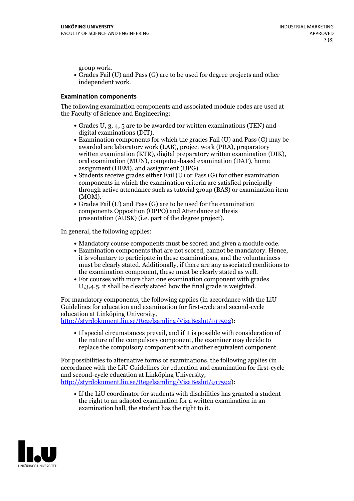group work.<br>• Grades Fail (U) and Pass (G) are to be used for degree projects and other independent work.

#### **Examination components**

The following examination components and associated module codes are used at the Faculty of Science and Engineering:

- Grades U, 3, 4, 5 are to be awarded for written examinations (TEN) and
- digital examinations (DIT).<br>• Examination components for which the grades Fail (U) and Pass (G) may be awarded are laboratory work (LAB), project work (PRA), preparatory written examination (KTR), digital preparatory written examination (DIK), oral examination (MUN), computer-based examination (DAT), home
- assignment (HEM), and assignment (UPG).<br>• Students receive grades either Fail (U) or Pass (G) for other examination components in which the examination criteria are satisfied principally through active attendance such as tutorial group (BAS) or examination item
- (MOM).<br>• Grades Fail (U) and Pass (G) are to be used for the examination components Opposition (OPPO) and Attendance at thesis presentation (AUSK) (i.e. part of the degree project).

In general, the following applies:

- 
- Mandatory course components must be scored and given <sup>a</sup> module code. Examination components that are not scored, cannot be mandatory. Hence, it is voluntary to participate in these examinations, and the voluntariness must be clearly stated. Additionally, if there are any associated conditions to
- the examination component, these must be clearly stated as well.<br>• For courses with more than one examination component with grades U,3,4,5, it shall be clearly stated how the final grade is weighted.

For mandatory components, the following applies (in accordance with the LiU Guidelines for education and examination for first-cycle and second-cycle education at Linköping University,<br>[http://styrdokument.liu.se/Regelsamling/VisaBeslut/917592\)](http://styrdokument.liu.se/Regelsamling/VisaBeslut/917592):

If special circumstances prevail, and if it is possible with consideration of the nature of the compulsory component, the examiner may decide to replace the compulsory component with another equivalent component.

For possibilities to alternative forms of examinations, the following applies (in accordance with the LiU Guidelines for education and examination for first-cycle [http://styrdokument.liu.se/Regelsamling/VisaBeslut/917592\)](http://styrdokument.liu.se/Regelsamling/VisaBeslut/917592):

If the LiU coordinator for students with disabilities has granted a student the right to an adapted examination for a written examination in an examination hall, the student has the right to it.